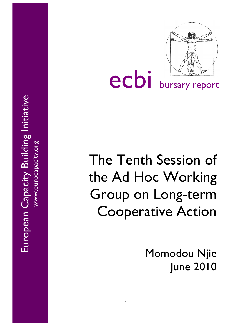

ecbi bursary report

# The Tenth Session of the Ad Hoc Working Group on Long -term Cooperative Action

Momodou Njie June 2010

European Capacity Building Initiative European Capacity Building Initiative www.eurocapacity.org www.eurocapacity.org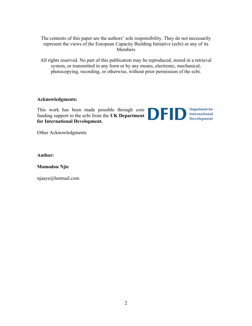The contents of this paper are the authors' sole responsibility. They do not necessarily represent the views of the European Capacity Building Initiative (ecbi) or any of its Members

All rights reserved. No part of this publication may be reproduced, stored in a retrieval system, or transmitted in any form or by any means, electronic, mechanical, photocopying, recording, or otherwise, without prior permission of the ecbi.

### **Acknowledgments:**

This work has been made possible through core funding support to the ecbi from the **UK Department for International Development.**



Other Acknowledgments

**Author:**

## **Momodou Njie**

njaaye@hotmail.com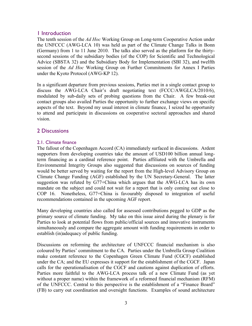## 1 Introduction

The tenth session of the *Ad Hoc* Working Group on Long-term Cooperative Action under the UNFCCC (AWG-LCA 10) was held as part of the Climate Change Talks in Bonn (Germany) from 1 to 11 June 2010. The talks also served as the platform for the thirtysecond sessions of the subsidiary bodies (of the COP) for Scientific and Technological Advice (SBSTA 32) and the Subsidiary Body for Implementation (SBI 32), and twelfth session of the *Ad Hoc* Working Group on Further Commitments for Annex I Parties under the Kyoto Protocol (AWG-KP 12).

In a significant departure from previous sessions, Parties met in a single contact group to discuss the AWG-LCA Chair's draft negotiating text (FCCC/AWGLCA/2010/6), modulated by sub-daily sets of probing questions from the Chair. A few break-out contact groups also availed Parties the opportunity to further exchange views on specific aspects of the text. Beyond my usual interest in climate finance, I seized he opportunity to attend and participate in discussions on cooperative sectoral approaches and shared vision.

# 2 Discussions

## 2.1. Climate finance

The fallout of the Copenhagen Accord (CA) immediately surfaced in discussions. Ardent supporters from developing countries take the amount of USD100 billion annual longterm financing as a cardinal reference point. Parties affiliated with the Umbrella and Environmental Integrity Groups also suggested that discussions on sources of funding would be better served by waiting for the report from the High-level Advisory Group on Climate Change Funding (AGF) established by the UN Secretary-General. The latter suggestion was refuted by G77+China which argues that the AWG-LCA has its own mandate on the subject and could not wait for a report that is only coming out close to COP 16. Nonetheless, G77+China is favourably disposed to integration of useful recommendations contained in the upcoming AGF report.

Many developing countries also called for assessed contributions pegged to GDP as the primary source of climate funding. My take on this issue aired during the plenary is for Parties to look at potential flows from public/official sources and innovative instruments simultaneously and compare the aggregate amount with funding requirements in order to establish (in)adequacy of public funding.

Discussions on reforming the architecture of UNFCCC financial mechanism is also coloured by Parties' commitment to the CA. Parties under the Umbrella Group Coalition make constant reference to the Copenhagen Green Climate Fund (CGCF) established under the CA; and the EU expresses it support for the establishment of the CGCF. Japan calls for the operationalisation of the CGCF and cautions against duplication of efforts. Parties more faithful to the AWG-LCA process talk of a new Climate Fund (as yet without a proper name) within the framework of a reformed financial mechanism (RFM) of the UNFCCC. Central to this perspective is the establishment of a "Finance Board" (FB) to carry out coordination and oversight functions. Examples of sound architecture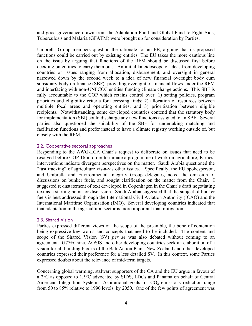and good governance drawn from the Adaptation Fund and Global Fund to Fight Aids, Tuberculosis and Malaria (GFATM) were brought up for consideration by Parties.

Umbrella Group members question the rationale for an FB, arguing that its proposed functions could be carried out by existing entities. The EU takes the more cautious line on the issue by arguing that functions of the RFM should be discussed first before deciding on entities to carry them out. An initial kaleidoscope of ideas from developing countries on issues ranging from allocation, disbursement, and oversight in general narrowed down by the second week to a idea of new financial oversight body cum subsidiary body on finance (SBF) providing oversight of financial flows under the RFM and interfacing with non-UNFCCC entities funding climate change actions. This SBF is fully accountable to the COP which retains control over: 1) setting policies, program priorities and eligibility criteria for accessing finds; 2) allocation of resources between multiple focal areas and operating entities; and 3) prioritisation between eligible recipients. Notwithstanding, some developed countries contend that the statutory body for implementation (SBI) could discharge any new functions assigned to an SBF. Several parties also questioned the suitability of the SBF for undertaking matching and facilitation functions and prefer instead to have a climate registry working outside of, but closely with the RFM.

### 2.2. Cooperative sectoral approaches

Responding to the AWG-LCA Chair's request to deliberate on issues that need to be resolved before COP 16 in order to initiate a programme of work on agriculture; Parties' interventions indicate divergent perspectives on the matter. Saudi Arabia questioned the "fast tracking" of agriculture vis-à-vis other issues. Specifically, the EU spokesperson, and Umbrella and Environmental Integrity Group delegates, noted the omission of discussions on bunker fuels, and sought clarification on the matter from the Chair. I suggested re-instatement of text developed in Copenhagen in the Chair's draft negotiating text as a starting point for discussion. Saudi Arabia suggested that the subject of bunker fuels is best addressed through the International Civil Aviation Authority (ICAO) and the International Maritime Organisation (IMO). Several developing countries indicated that that adaptation in the agricultural sector is more important than mitigation.

#### 2.3. Shared Vision

Parties expressed different views on the scope of the preamble, the bone of contention being expressive key words and concepts that need to be included. The content and scope of the Shared Vision (SV) *per se* was also debated without coming to an agreement. G77+China, AOSIS and other developing countries seek an elaboration of a vision for all building blocks of the Bali Action Plan. New Zealand and other developed countries expressed their preference for a less detailed SV. In this context, some Parties expressed doubts about the relevance of mid-term targets.

Concerning global warming, stalwart supporters of the CA and the EU argue in favour of a 2°C as opposed to 1.5°C advocated by SIDS, LDCs and Panama on behalf of Central American Integration System. Aspirational goals for  $CO<sub>2</sub>$  emissions reduction range from 50 to 85% relative to 1990 levels, by 2050. One of the few points of agreement was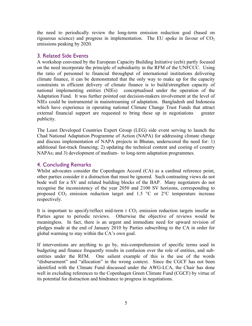the need to periodically review the long-term emission reduction goal (based on rigourous science) and progress in implementation. The EU spoke in favour of  $CO<sub>2</sub>$ emissions peaking by 2020.

## 3. Related Side Events

A workshop convened by the European Capacity Building Initiative (ecbi) partly focused on the need incorporate the principle of subsidiarity in the RFM of the UNFCCC. Using the ratio of personnel to financial throughput of international institutions delivering climate finance, it can be demonstrated that the only way to make up for the capacity constraints in efficient delivery of climate finance is to build/strengthen capacity of national implementing entities (NIEs) conceptualised under the operation of the Adaptation Fund. It was further pointed out decision-makers involvement at the level of NIEs could be instrumental in mainstreaming of adaptation. Bangladesh and Indonesia which have experience in operating national Climate Change Trust Funds that attract external financial support are requested to bring these up in negotiations greater publicity.

The Least Developed Countries Expert Group (LEG) side event serving to launch the Chad National Adaptation Programme of Action (NAPA) for addressing climate change and discuss implementation of NAPA projects in Bhutan, underscored the need for: 1) additional fast-track financing; 2) updating the technical content and costing of country NAPAs; and 3) development of medium- to long-term adaptation programmes.

# 4. Concluding Remarks

Whilst advocates consider the Copenhagen Accord (CA) as a cardinal reference point, other parties consider it a distraction that must be ignored. Such contrasting views do not bode well for a SV and related building blocks of the BAP. Many negotiators do not recognise the inconsistency of the year 2050 and 2100 SV horizons, corresponding to proposed  $CO_2$  emission reduction target and 1.5 °C or 2°C temperature increase respectively.

It is important to specify/reflect mid-term  $\tau$  CO<sub>2</sub> emission reduction targets insofar as Parties agree to periodic reviews. Otherwise the objective of reviews would be meaningless. In fact, there is an urgent and immediate need for upward revision of pledges made at the end of January 2010 by Parties subscribing to the CA in order for global warming to stay within the CA's own goal.

If interventions are anything to go by, mis-comprehension of specific terms used in budgeting and finance frequently results in confusion over the role of entities, and subentities under the RFM. One salient example of this is the use of the words "disbursement" and "allocation" in the wrong context. Since the CGCF has not been identified with the Climate Fund discussed under the AWG-LCA, the Chair has done well in excluding references to the Copenhagen Green Climate Fund (CGCF) by virtue of its potential for distraction and hindrance to progress in negotiations.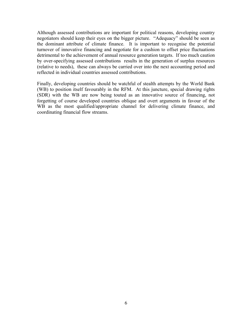Although assessed contributions are important for political reasons, developing country negotiators should keep their eyes on the bigger picture. "Adequacy" should be seen as the dominant attribute of climate finance. It is important to recognise the potential turnover of innovative financing and negotiate for a cushion to offset price fluctuations detrimental to the achievement of annual resource generation targets. If too much caution by over-specifying assessed contributions results in the generation of surplus resources (relative to needs), these can always be carried over into the next accounting period and reflected in individual countries assessed contributions.

Finally, developing countries should be watchful of stealth attempts by the World Bank (WB) to position itself favourably in the RFM. At this juncture, special drawing rights (SDR) with the WB are now being touted as an innovative source of financing, not forgetting of course developed countries oblique and overt arguments in favour of the WB as the most qualified/appropriate channel for delivering climate finance, and coordinating financial flow streams.